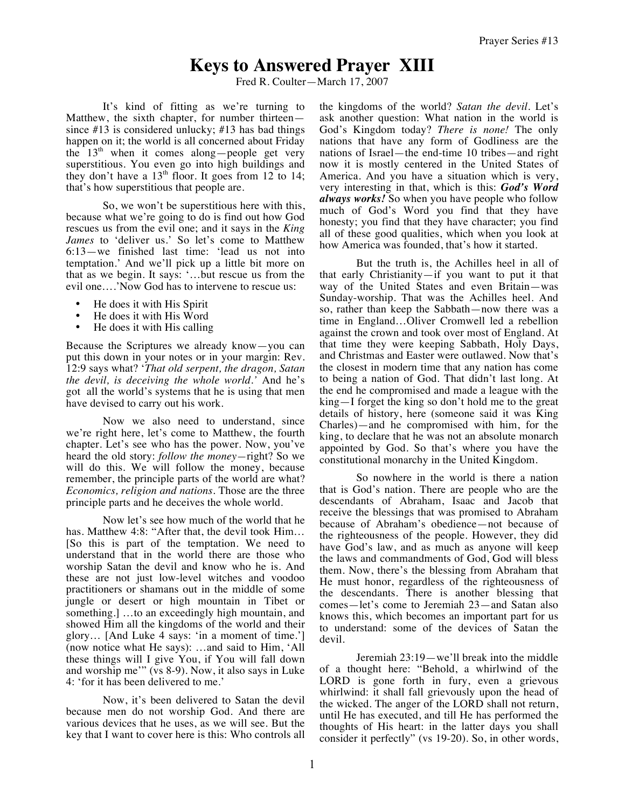## **Keys to Answered Prayer XIII**

Fred R. Coulter—March 17, 2007

It's kind of fitting as we're turning to Matthew, the sixth chapter, for number thirteen since #13 is considered unlucky; #13 has bad things happen on it; the world is all concerned about Friday the  $13<sup>th</sup>$  when it comes along—people get very superstitious. You even go into high buildings and they don't have a  $13<sup>th</sup>$  floor. It goes from 12 to 14; that's how superstitious that people are.

So, we won't be superstitious here with this, because what we're going to do is find out how God rescues us from the evil one; and it says in the *King James* to 'deliver us.' So let's come to Matthew 6:13—we finished last time: 'lead us not into temptation.' And we'll pick up a little bit more on that as we begin. It says: '…but rescue us from the evil one….'Now God has to intervene to rescue us:

- He does it with His Spirit
- He does it with His Word
- He does it with His calling

Because the Scriptures we already know—you can put this down in your notes or in your margin: Rev. 12:9 says what? '*That old serpent, the dragon, Satan the devil, is deceiving the whole world.'* And he's got all the world's systems that he is using that men have devised to carry out his work.

Now we also need to understand, since we're right here, let's come to Matthew, the fourth chapter. Let's see who has the power. Now, you've heard the old story: *follow the money—*right? So we will do this. We will follow the money, because remember, the principle parts of the world are what? *Economics, religion and nations.* Those are the three principle parts and he deceives the whole world.

Now let's see how much of the world that he has. Matthew 4:8: "After that, the devil took Him… [So this is part of the temptation. We need to understand that in the world there are those who worship Satan the devil and know who he is. And these are not just low-level witches and voodoo practitioners or shamans out in the middle of some jungle or desert or high mountain in Tibet or something.] …to an exceedingly high mountain, and showed Him all the kingdoms of the world and their glory… [And Luke 4 says: 'in a moment of time.'] (now notice what He says): …and said to Him, 'All these things will I give You, if You will fall down and worship me'" (vs 8-9). Now, it also says in Luke 4: 'for it has been delivered to me.'

Now, it's been delivered to Satan the devil because men do not worship God. And there are various devices that he uses, as we will see. But the key that I want to cover here is this: Who controls all the kingdoms of the world? *Satan the devil.* Let's ask another question: What nation in the world is God's Kingdom today? *There is none!* The only nations that have any form of Godliness are the nations of Israel—the end-time 10 tribes—and right now it is mostly centered in the United States of America. And you have a situation which is very, very interesting in that, which is this: *God's Word always works!* So when you have people who follow much of God's Word you find that they have honesty; you find that they have character; you find all of these good qualities, which when you look at how America was founded, that's how it started.

But the truth is, the Achilles heel in all of that early Christianity—if you want to put it that way of the United States and even Britain—was Sunday-worship. That was the Achilles heel. And so, rather than keep the Sabbath—now there was a time in England…Oliver Cromwell led a rebellion against the crown and took over most of England. At that time they were keeping Sabbath, Holy Days, and Christmas and Easter were outlawed. Now that's the closest in modern time that any nation has come to being a nation of God. That didn't last long. At the end he compromised and made a league with the king—I forget the king so don't hold me to the great details of history, here (someone said it was King Charles)—and he compromised with him, for the king, to declare that he was not an absolute monarch appointed by God. So that's where you have the constitutional monarchy in the United Kingdom.

So nowhere in the world is there a nation that is God's nation. There are people who are the descendants of Abraham, Isaac and Jacob that receive the blessings that was promised to Abraham because of Abraham's obedience—not because of the righteousness of the people. However, they did have God's law, and as much as anyone will keep the laws and commandments of God, God will bless them. Now, there's the blessing from Abraham that He must honor, regardless of the righteousness of the descendants. There is another blessing that comes—let's come to Jeremiah 23—and Satan also knows this, which becomes an important part for us to understand: some of the devices of Satan the devil.

Jeremiah 23:19—we'll break into the middle of a thought here: "Behold, a whirlwind of the LORD is gone forth in fury, even a grievous whirlwind: it shall fall grievously upon the head of the wicked. The anger of the LORD shall not return, until He has executed, and till He has performed the thoughts of His heart: in the latter days you shall consider it perfectly" (vs 19-20). So, in other words,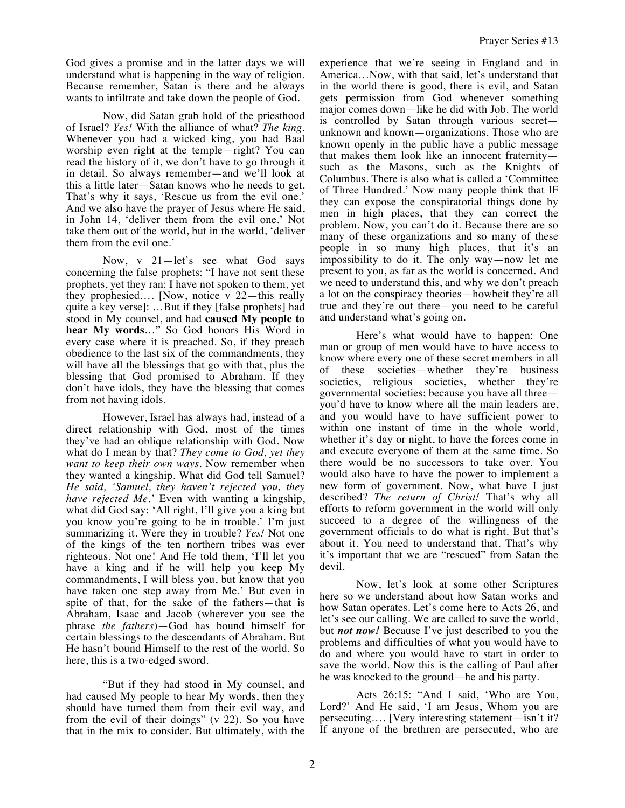God gives a promise and in the latter days we will understand what is happening in the way of religion. Because remember, Satan is there and he always wants to infiltrate and take down the people of God.

Now, did Satan grab hold of the priesthood of Israel? *Yes!* With the alliance of what? *The king.*  Whenever you had a wicked king, you had Baal worship even right at the temple—right? You can read the history of it, we don't have to go through it in detail. So always remember—and we'll look at this a little later—Satan knows who he needs to get. That's why it says, 'Rescue us from the evil one.' And we also have the prayer of Jesus where He said, in John 14, 'deliver them from the evil one.' Not take them out of the world, but in the world, 'deliver them from the evil one.'

Now, v 21—let's see what God says concerning the false prophets: "I have not sent these prophets, yet they ran: I have not spoken to them, yet they prophesied…. [Now, notice v 22—this really quite a key verse]: …But if they [false prophets] had stood in My counsel, and had **caused My people to hear My words**…" So God honors His Word in every case where it is preached. So, if they preach obedience to the last six of the commandments, they will have all the blessings that go with that, plus the blessing that God promised to Abraham. If they don't have idols, they have the blessing that comes from not having idols.

However, Israel has always had, instead of a direct relationship with God, most of the times they've had an oblique relationship with God. Now what do I mean by that? *They come to God, yet they want to keep their own ways.* Now remember when they wanted a kingship. What did God tell Samuel? *He said, 'Samuel, they haven't rejected you, they have rejected Me.'* Even with wanting a kingship, what did God say: 'All right, I'll give you a king but you know you're going to be in trouble.' I'm just summarizing it. Were they in trouble? *Yes!* Not one of the kings of the ten northern tribes was ever righteous. Not one! And He told them, 'I'll let you have a king and if he will help you keep My commandments, I will bless you, but know that you have taken one step away from Me.' But even in spite of that, for the sake of the fathers—that is Abraham, Isaac and Jacob (wherever you see the phrase *the fathers*)—God has bound himself for certain blessings to the descendants of Abraham. But He hasn't bound Himself to the rest of the world. So here, this is a two-edged sword.

"But if they had stood in My counsel, and had caused My people to hear My words, then they should have turned them from their evil way, and from the evil of their doings" (v 22). So you have that in the mix to consider. But ultimately, with the experience that we're seeing in England and in America…Now, with that said, let's understand that in the world there is good, there is evil, and Satan gets permission from God whenever something major comes down—like he did with Job. The world is controlled by Satan through various secret unknown and known—organizations. Those who are known openly in the public have a public message that makes them look like an innocent fraternity such as the Masons, such as the Knights of Columbus. There is also what is called a 'Committee of Three Hundred.' Now many people think that IF they can expose the conspiratorial things done by men in high places, that they can correct the problem. Now, you can't do it. Because there are so many of these organizations and so many of these people in so many high places, that it's an impossibility to do it. The only way—now let me present to you, as far as the world is concerned. And we need to understand this, and why we don't preach a lot on the conspiracy theories—howbeit they're all true and they're out there—you need to be careful and understand what's going on.

Here's what would have to happen: One man or group of men would have to have access to know where every one of these secret members in all of these societies—whether they're business societies, religious societies, whether they're governmental societies; because you have all three you'd have to know where all the main leaders are, and you would have to have sufficient power to within one instant of time in the whole world, whether it's day or night, to have the forces come in and execute everyone of them at the same time. So there would be no successors to take over. You would also have to have the power to implement a new form of government. Now, what have I just described? *The return of Christ!* That's why all efforts to reform government in the world will only succeed to a degree of the willingness of the government officials to do what is right. But that's about it. You need to understand that. That's why it's important that we are "rescued" from Satan the devil.

Now, let's look at some other Scriptures here so we understand about how Satan works and how Satan operates. Let's come here to Acts 26, and let's see our calling. We are called to save the world, but *not now!* Because I've just described to you the problems and difficulties of what you would have to do and where you would have to start in order to save the world. Now this is the calling of Paul after he was knocked to the ground—he and his party.

Acts 26:15: "And I said, 'Who are You, Lord?' And He said, 'I am Jesus, Whom you are persecuting…. [Very interesting statement—isn't it? If anyone of the brethren are persecuted, who are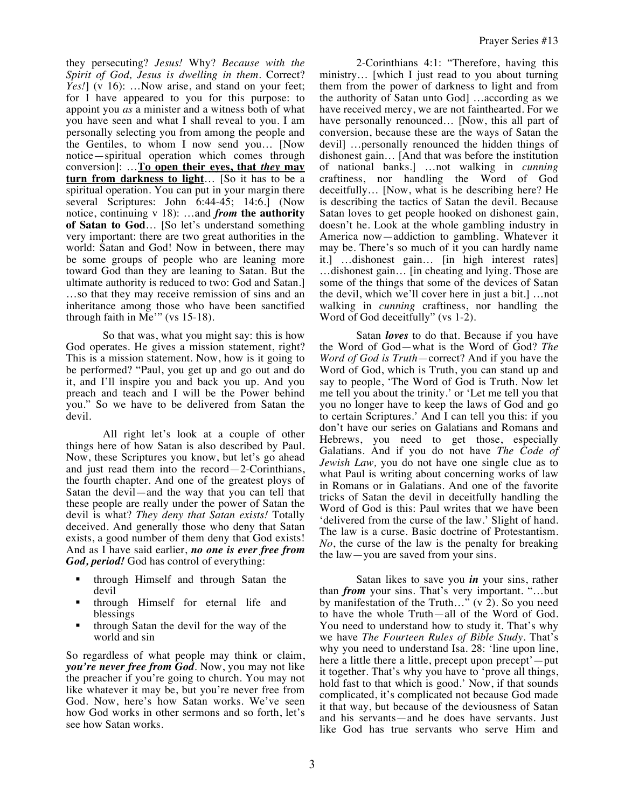Prayer Series #13

they persecuting? *Jesus!* Why? *Because with the Spirit of God, Jesus is dwelling in them.* Correct? Yes!] (v 16): ...Now arise, and stand on your feet; for I have appeared to you for this purpose: to appoint you *as* a minister and a witness both of what you have seen and what I shall reveal to you. I am personally selecting you from among the people and the Gentiles, to whom I now send you… [Now notice—spiritual operation which comes through conversion]: …**To open their eyes, that** *they* **may turn from darkness to light**… [So it has to be a spiritual operation. You can put in your margin there several Scriptures: John 6:44-45; 14:6.] (Now notice, continuing v 18): …and *from* **the authority of Satan to God**… [So let's understand something very important: there are two great authorities in the world: Satan and God! Now in between, there may be some groups of people who are leaning more toward God than they are leaning to Satan. But the ultimate authority is reduced to two: God and Satan.] …so that they may receive remission of sins and an inheritance among those who have been sanctified through faith in Me'" (vs 15-18).

So that was, what you might say: this is how God operates. He gives a mission statement, right? This is a mission statement. Now, how is it going to be performed? "Paul, you get up and go out and do it, and I'll inspire you and back you up. And you preach and teach and I will be the Power behind you." So we have to be delivered from Satan the devil.

All right let's look at a couple of other things here of how Satan is also described by Paul. Now, these Scriptures you know, but let's go ahead and just read them into the record—2-Corinthians, the fourth chapter. And one of the greatest ploys of Satan the devil—and the way that you can tell that these people are really under the power of Satan the devil is what? *They deny that Satan exists!* Totally deceived. And generally those who deny that Satan exists, a good number of them deny that God exists! And as I have said earlier, *no one is ever free from God, period!* God has control of everything:

- through Himself and through Satan the devil
- through Himself for eternal life and blessings
- through Satan the devil for the way of the world and sin

So regardless of what people may think or claim, *you're never free from God*. Now, you may not like the preacher if you're going to church. You may not like whatever it may be, but you're never free from God. Now, here's how Satan works. We've seen how God works in other sermons and so forth, let's see how Satan works.

2-Corinthians 4:1: "Therefore, having this ministry… [which I just read to you about turning them from the power of darkness to light and from the authority of Satan unto God] …according as we have received mercy, we are not fainthearted. For we have personally renounced... [Now, this all part of conversion, because these are the ways of Satan the devil] …personally renounced the hidden things of dishonest gain… [And that was before the institution of national banks.] …not walking in *cunning* craftiness, nor handling the Word of God deceitfully… [Now, what is he describing here? He is describing the tactics of Satan the devil. Because Satan loves to get people hooked on dishonest gain, doesn't he. Look at the whole gambling industry in America now—addiction to gambling. Whatever it may be. There's so much of it you can hardly name it.] …dishonest gain… [in high interest rates] …dishonest gain… [in cheating and lying. Those are some of the things that some of the devices of Satan the devil, which we'll cover here in just a bit.] …not walking in *cunning* craftiness, nor handling the Word of God deceitfully" (vs 1-2).

Satan *loves* to do that. Because if you have the Word of God—what is the Word of God? *The Word of God is Truth*—correct? And if you have the Word of God, which is Truth, you can stand up and say to people, 'The Word of God is Truth. Now let me tell you about the trinity.' or 'Let me tell you that you no longer have to keep the laws of God and go to certain Scriptures.' And I can tell you this: if you don't have our series on Galatians and Romans and Hebrews, you need to get those, especially Galatians. And if you do not have *The Code of Jewish Law,* you do not have one single clue as to what Paul is writing about concerning works of law in Romans or in Galatians. And one of the favorite tricks of Satan the devil in deceitfully handling the Word of God is this: Paul writes that we have been 'delivered from the curse of the law.' Slight of hand. The law is a curse. Basic doctrine of Protestantism. *No*, the curse of the law is the penalty for breaking the law—you are saved from your sins.

Satan likes to save you *in* your sins, rather than *from* your sins. That's very important. "…but by manifestation of the Truth..." (v  $2$ ). So you need to have the whole Truth—all of the Word of God. You need to understand how to study it. That's why we have *The Fourteen Rules of Bible Study*. That's why you need to understand Isa. 28: 'line upon line, here a little there a little, precept upon precept'—put it together. That's why you have to 'prove all things, hold fast to that which is good.' Now, if that sounds complicated, it's complicated not because God made it that way, but because of the deviousness of Satan and his servants—and he does have servants. Just like God has true servants who serve Him and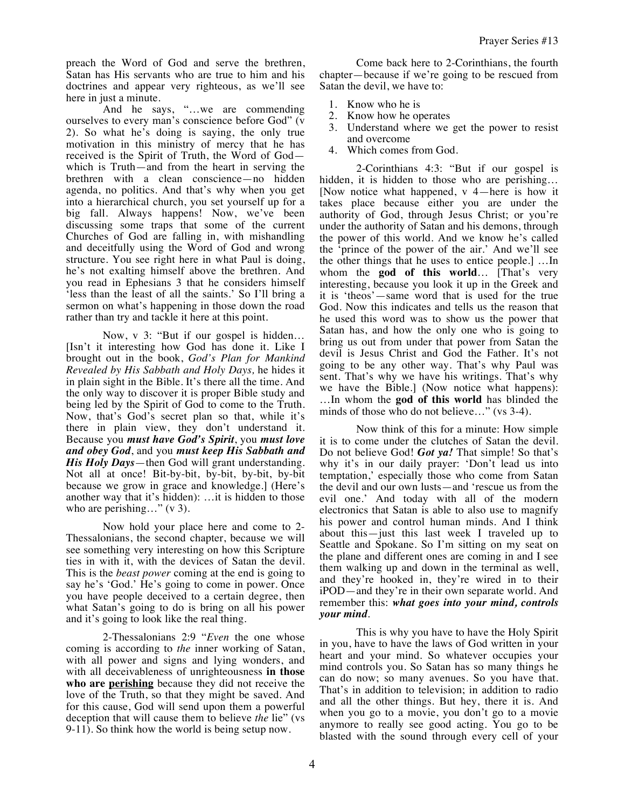preach the Word of God and serve the brethren, Satan has His servants who are true to him and his doctrines and appear very righteous, as we'll see here in just a minute.

And he says, "…we are commending ourselves to every man's conscience before God" (v 2). So what he's doing is saying, the only true motivation in this ministry of mercy that he has received is the Spirit of Truth, the Word of God which is Truth—and from the heart in serving the brethren with a clean conscience—no hidden agenda, no politics. And that's why when you get into a hierarchical church, you set yourself up for a big fall. Always happens! Now, we've been discussing some traps that some of the current Churches of God are falling in, with mishandling and deceitfully using the Word of God and wrong structure. You see right here in what Paul is doing, he's not exalting himself above the brethren. And you read in Ephesians 3 that he considers himself 'less than the least of all the saints.' So I'll bring a sermon on what's happening in those down the road rather than try and tackle it here at this point.

Now, v 3: "But if our gospel is hidden… [Isn't it interesting how God has done it. Like I brought out in the book, *God's Plan for Mankind Revealed by His Sabbath and Holy Days,* he hides it in plain sight in the Bible. It's there all the time. And the only way to discover it is proper Bible study and being led by the Spirit of God to come to the Truth. Now, that's God's secret plan so that, while it's there in plain view, they don't understand it. Because you *must have God's Spirit*, you *must love and obey God*, and you *must keep His Sabbath and His Holy Days*—then God will grant understanding. Not all at once! Bit-by-bit, by-bit, by-bit, by-bit because we grow in grace and knowledge.] (Here's another way that it's hidden): …it is hidden to those who are perishing..." (v 3).

Now hold your place here and come to 2- Thessalonians, the second chapter, because we will see something very interesting on how this Scripture ties in with it, with the devices of Satan the devil. This is the *beast power* coming at the end is going to say he's 'God.' He's going to come in power. Once you have people deceived to a certain degree, then what Satan's going to do is bring on all his power and it's going to look like the real thing.

2-Thessalonians 2:9 "*Even* the one whose coming is according to *the* inner working of Satan, with all power and signs and lying wonders, and with all deceivableness of unrighteousness **in those who are perishing** because they did not receive the love of the Truth, so that they might be saved. And for this cause, God will send upon them a powerful deception that will cause them to believe *the* lie" (vs 9-11). So think how the world is being setup now.

Come back here to 2-Corinthians, the fourth chapter—because if we're going to be rescued from Satan the devil, we have to:

- 1. Know who he is
- 2. Know how he operates
- 3. Understand where we get the power to resist and overcome
- 4. Which comes from God.

2-Corinthians 4:3: "But if our gospel is hidden, it is hidden to those who are perishing... [Now notice what happened, v 4—here is how it takes place because either you are under the authority of God, through Jesus Christ; or you're under the authority of Satan and his demons, through the power of this world. And we know he's called the 'prince of the power of the air.' And we'll see the other things that he uses to entice people.] …In whom the **god of this world**… [That's very interesting, because you look it up in the Greek and it is 'theos'—same word that is used for the true God. Now this indicates and tells us the reason that he used this word was to show us the power that Satan has, and how the only one who is going to bring us out from under that power from Satan the devil is Jesus Christ and God the Father. It's not going to be any other way. That's why Paul was sent. That's why we have his writings. That's why we have the Bible.] (Now notice what happens): …In whom the **god of this world** has blinded the minds of those who do not believe..." (vs 3-4).

Now think of this for a minute: How simple it is to come under the clutches of Satan the devil. Do not believe God! *Got ya!* That simple! So that's why it's in our daily prayer: 'Don't lead us into temptation,' especially those who come from Satan the devil and our own lusts—and 'rescue us from the evil one.' And today with all of the modern electronics that Satan is able to also use to magnify his power and control human minds. And I think about this—just this last week I traveled up to Seattle and Spokane. So I'm sitting on my seat on the plane and different ones are coming in and I see them walking up and down in the terminal as well, and they're hooked in, they're wired in to their iPOD—and they're in their own separate world. And remember this: *what goes into your mind, controls your mind*.

This is why you have to have the Holy Spirit in you, have to have the laws of God written in your heart and your mind. So whatever occupies your mind controls you. So Satan has so many things he can do now; so many avenues. So you have that. That's in addition to television; in addition to radio and all the other things. But hey, there it is. And when you go to a movie, you don't go to a movie anymore to really see good acting. You go to be blasted with the sound through every cell of your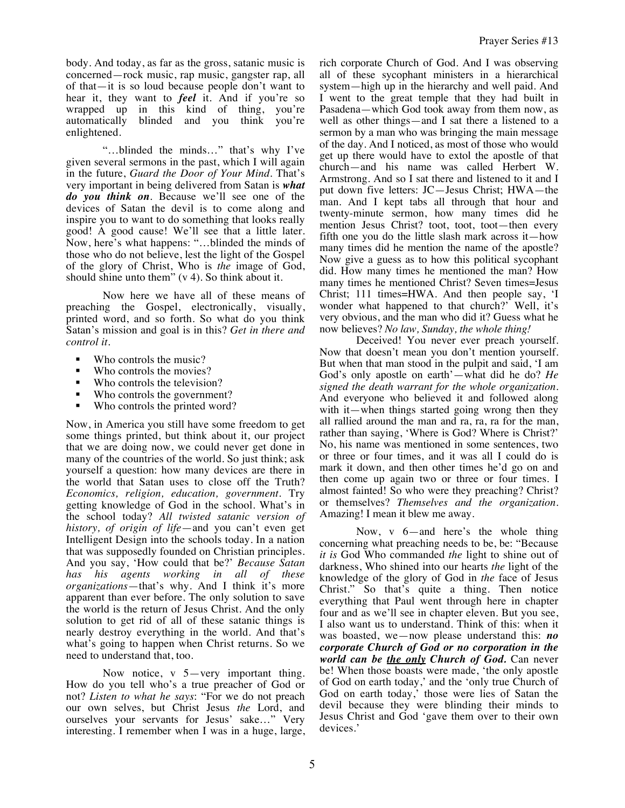body. And today, as far as the gross, satanic music is concerned—rock music, rap music, gangster rap, all of that—it is so loud because people don't want to hear it, they want to *feel* it. And if you're so wrapped up in this kind of thing, you're automatically blinded and you think you're enlightened.

"…blinded the minds…" that's why I've given several sermons in the past, which I will again in the future, *Guard the Door of Your Mind.* That's very important in being delivered from Satan is *what do you think on*. Because we'll see one of the devices of Satan the devil is to come along and inspire you to want to do something that looks really good! A good cause! We'll see that a little later. Now, here's what happens: "…blinded the minds of those who do not believe, lest the light of the Gospel of the glory of Christ, Who is *the* image of God, should shine unto them" (v 4). So think about it.

Now here we have all of these means of preaching the Gospel, electronically, visually, printed word, and so forth. So what do you think Satan's mission and goal is in this? *Get in there and control it.*

- Who controls the music?
- Who controls the movies?
- Who controls the television?<br>• Who controls the governmen
- Who controls the government?<br>Who controls the printed word?
- Who controls the printed word?

Now, in America you still have some freedom to get some things printed, but think about it, our project that we are doing now, we could never get done in many of the countries of the world. So just think; ask yourself a question: how many devices are there in the world that Satan uses to close off the Truth? *Economics, religion, education, government.* Try getting knowledge of God in the school. What's in the school today? *All twisted satanic version of history, of origin of life*—and you can't even get Intelligent Design into the schools today. In a nation that was supposedly founded on Christian principles. And you say, 'How could that be?' *Because Satan has his agents working in all of these organizations*—that's why. And I think it's more apparent than ever before. The only solution to save the world is the return of Jesus Christ. And the only solution to get rid of all of these satanic things is nearly destroy everything in the world. And that's what's going to happen when Christ returns. So we need to understand that, too.

Now notice, v 5—very important thing. How do you tell who's a true preacher of God or not? *Listen to what he says*: "For we do not preach our own selves, but Christ Jesus *the* Lord, and ourselves your servants for Jesus' sake…" Very interesting. I remember when I was in a huge, large, rich corporate Church of God. And I was observing all of these sycophant ministers in a hierarchical system—high up in the hierarchy and well paid. And I went to the great temple that they had built in Pasadena—which God took away from them now, as well as other things—and I sat there a listened to a sermon by a man who was bringing the main message of the day. And I noticed, as most of those who would get up there would have to extol the apostle of that church—and his name was called Herbert W. Armstrong. And so I sat there and listened to it and I put down five letters: JC—Jesus Christ; HWA—the man. And I kept tabs all through that hour and twenty-minute sermon, how many times did he mention Jesus Christ? toot, toot, toot—then every fifth one you do the little slash mark across it—how many times did he mention the name of the apostle? Now give a guess as to how this political sycophant did. How many times he mentioned the man? How many times he mentioned Christ? Seven times=Jesus Christ; 111 times=HWA. And then people say, 'I wonder what happened to that church?' Well, it's very obvious, and the man who did it? Guess what he now believes? *No law, Sunday, the whole thing!*

Deceived! You never ever preach yourself. Now that doesn't mean you don't mention yourself. But when that man stood in the pulpit and said, 'I am God's only apostle on earth'—what did he do? *He signed the death warrant for the whole organization.*  And everyone who believed it and followed along with it—when things started going wrong then they all rallied around the man and ra, ra, ra for the man, rather than saying, 'Where is God? Where is Christ?' No, his name was mentioned in some sentences, two or three or four times, and it was all I could do is mark it down, and then other times he'd go on and then come up again two or three or four times. I almost fainted! So who were they preaching? Christ? or themselves? *Themselves and the organization.* Amazing! I mean it blew me away.

Now, v 6—and here's the whole thing concerning what preaching needs to be, be: "Because *it is* God Who commanded *the* light to shine out of darkness, Who shined into our hearts *the* light of the knowledge of the glory of God in *the* face of Jesus Christ." So that's quite a thing. Then notice everything that Paul went through here in chapter four and as we'll see in chapter eleven. But you see, I also want us to understand. Think of this: when it was boasted, we—now please understand this: *no corporate Church of God or no corporation in the world can be the only Church of God.* Can never be! When those boasts were made, 'the only apostle of God on earth today,' and the 'only true Church of God on earth today,' those were lies of Satan the devil because they were blinding their minds to Jesus Christ and God 'gave them over to their own devices.'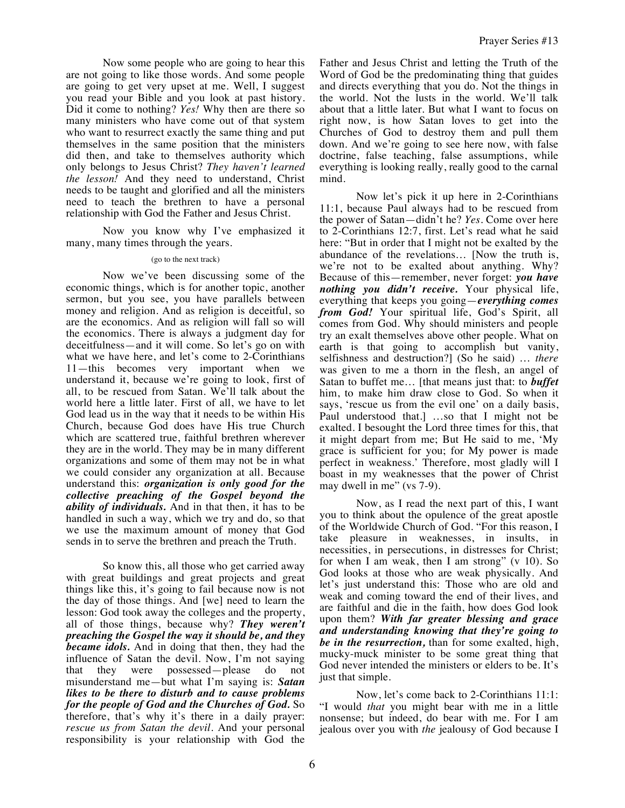Now some people who are going to hear this are not going to like those words. And some people are going to get very upset at me. Well, I suggest you read your Bible and you look at past history. Did it come to nothing? *Yes!* Why then are there so many ministers who have come out of that system who want to resurrect exactly the same thing and put themselves in the same position that the ministers did then, and take to themselves authority which only belongs to Jesus Christ? *They haven't learned the lesson!* And they need to understand, Christ needs to be taught and glorified and all the ministers need to teach the brethren to have a personal relationship with God the Father and Jesus Christ.

Now you know why I've emphasized it many, many times through the years.

## (go to the next track)

Now we've been discussing some of the economic things, which is for another topic, another sermon, but you see, you have parallels between money and religion. And as religion is deceitful, so are the economics. And as religion will fall so will the economics. There is always a judgment day for deceitfulness—and it will come. So let's go on with what we have here, and let's come to 2-Corinthians 11—this becomes very important when we understand it, because we're going to look, first of all, to be rescued from Satan. We'll talk about the world here a little later. First of all, we have to let God lead us in the way that it needs to be within His Church, because God does have His true Church which are scattered true, faithful brethren wherever they are in the world. They may be in many different organizations and some of them may not be in what we could consider any organization at all. Because understand this: *organization is only good for the collective preaching of the Gospel beyond the ability of individuals.* And in that then, it has to be handled in such a way, which we try and do, so that we use the maximum amount of money that God sends in to serve the brethren and preach the Truth.

So know this, all those who get carried away with great buildings and great projects and great things like this, it's going to fail because now is not the day of those things. And [we] need to learn the lesson: God took away the colleges and the property, all of those things, because why? *They weren't preaching the Gospel the way it should be, and they became idols.* And in doing that then, they had the influence of Satan the devil. Now, I'm not saying that they were possessed—please do not misunderstand me—but what I'm saying is: *Satan likes to be there to disturb and to cause problems for the people of God and the Churches of God.* So therefore, that's why it's there in a daily prayer: *rescue us from Satan the devil.* And your personal responsibility is your relationship with God the

Father and Jesus Christ and letting the Truth of the Word of God be the predominating thing that guides and directs everything that you do. Not the things in the world. Not the lusts in the world. We'll talk about that a little later. But what I want to focus on right now, is how Satan loves to get into the Churches of God to destroy them and pull them down. And we're going to see here now, with false doctrine, false teaching, false assumptions, while everything is looking really, really good to the carnal mind.

Now let's pick it up here in 2-Corinthians 11:1, because Paul always had to be rescued from the power of Satan—didn't he? *Yes.* Come over here to 2-Corinthians 12:7, first. Let's read what he said here: "But in order that I might not be exalted by the abundance of the revelations… [Now the truth is, we're not to be exalted about anything. Why? Because of this—remember, never forget: *you have nothing you didn't receive.* Your physical life, everything that keeps you going—*everything comes from God!* Your spiritual life, God's Spirit, all comes from God. Why should ministers and people try an exalt themselves above other people. What on earth is that going to accomplish but vanity, selfishness and destruction?] (So he said) … *there* was given to me a thorn in the flesh, an angel of Satan to buffet me… [that means just that: to *buffet* him, to make him draw close to God. So when it says, 'rescue us from the evil one' on a daily basis, Paul understood that.] …so that I might not be exalted. I besought the Lord three times for this, that it might depart from me; But He said to me, 'My grace is sufficient for you; for My power is made perfect in weakness.' Therefore, most gladly will I boast in my weaknesses that the power of Christ may dwell in me" (vs 7-9).

Now, as I read the next part of this, I want you to think about the opulence of the great apostle of the Worldwide Church of God. "For this reason, I take pleasure in weaknesses, in insults, in necessities, in persecutions, in distresses for Christ; for when I am weak, then I am strong" (v 10). So God looks at those who are weak physically. And let's just understand this: Those who are old and weak and coming toward the end of their lives, and are faithful and die in the faith, how does God look upon them? *With far greater blessing and grace and understanding knowing that they're going to be in the resurrection,* than for some exalted, high, mucky-muck minister to be some great thing that God never intended the ministers or elders to be. It's just that simple.

Now, let's come back to 2-Corinthians 11:1: "I would *that* you might bear with me in a little nonsense; but indeed, do bear with me. For I am jealous over you with *the* jealousy of God because I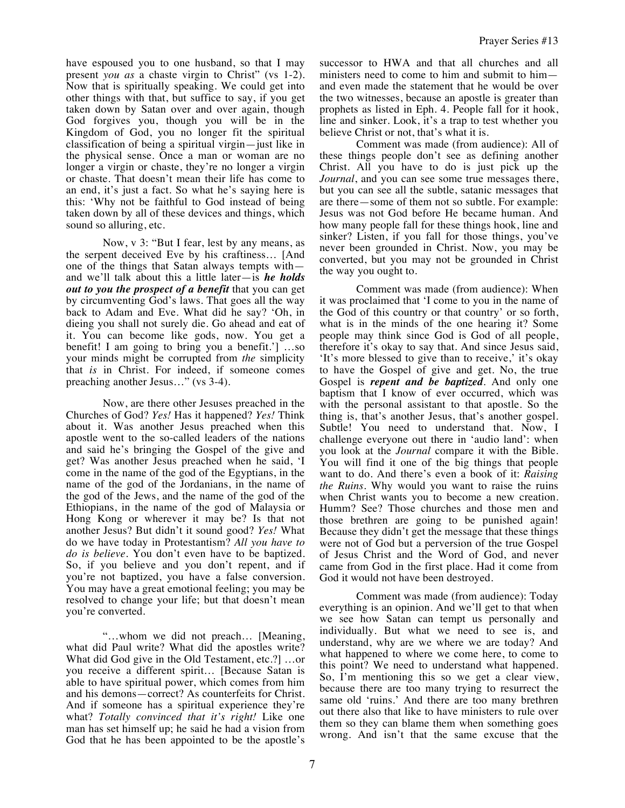have espoused you to one husband, so that I may present *you as* a chaste virgin to Christ" (vs 1-2). Now that is spiritually speaking. We could get into other things with that, but suffice to say, if you get taken down by Satan over and over again, though God forgives you, though you will be in the Kingdom of God, you no longer fit the spiritual classification of being a spiritual virgin—just like in the physical sense. Once a man or woman are no longer a virgin or chaste, they're no longer a virgin or chaste. That doesn't mean their life has come to an end, it's just a fact. So what he's saying here is this: 'Why not be faithful to God instead of being taken down by all of these devices and things, which sound so alluring, etc.

Now, v 3: "But I fear, lest by any means, as the serpent deceived Eve by his craftiness… [And one of the things that Satan always tempts with and we'll talk about this a little later—is *he holds out to you the prospect of a benefit* that you can get by circumventing God's laws. That goes all the way back to Adam and Eve. What did he say? 'Oh, in dieing you shall not surely die. Go ahead and eat of it. You can become like gods, now. You get a benefit! I am going to bring you a benefit.'] …so your minds might be corrupted from *the* simplicity that *is* in Christ. For indeed, if someone comes preaching another Jesus…" (vs 3-4).

Now, are there other Jesuses preached in the Churches of God? *Yes!* Has it happened? *Yes!* Think about it. Was another Jesus preached when this apostle went to the so-called leaders of the nations and said he's bringing the Gospel of the give and get? Was another Jesus preached when he said, 'I come in the name of the god of the Egyptians, in the name of the god of the Jordanians, in the name of the god of the Jews, and the name of the god of the Ethiopians, in the name of the god of Malaysia or Hong Kong or wherever it may be? Is that not another Jesus? But didn't it sound good? *Yes!* What do we have today in Protestantism? *All you have to do is believe*. You don't even have to be baptized. So, if you believe and you don't repent, and if you're not baptized, you have a false conversion. You may have a great emotional feeling; you may be resolved to change your life; but that doesn't mean you're converted.

"…whom we did not preach… [Meaning, what did Paul write? What did the apostles write? What did God give in the Old Testament, etc.?] …or you receive a different spirit… [Because Satan is able to have spiritual power, which comes from him and his demons—correct? As counterfeits for Christ. And if someone has a spiritual experience they're what? *Totally convinced that it's right!* Like one man has set himself up; he said he had a vision from God that he has been appointed to be the apostle's

successor to HWA and that all churches and all ministers need to come to him and submit to him and even made the statement that he would be over the two witnesses, because an apostle is greater than prophets as listed in Eph. 4. People fall for it hook, line and sinker. Look, it's a trap to test whether you believe Christ or not, that's what it is.

Comment was made (from audience): All of these things people don't see as defining another Christ. All you have to do is just pick up the *Journal*, and you can see some true messages there, but you can see all the subtle, satanic messages that are there—some of them not so subtle. For example: Jesus was not God before He became human. And how many people fall for these things hook, line and sinker? Listen, if you fall for those things, you've never been grounded in Christ. Now, you may be converted, but you may not be grounded in Christ the way you ought to.

Comment was made (from audience): When it was proclaimed that 'I come to you in the name of the God of this country or that country' or so forth, what is in the minds of the one hearing it? Some people may think since God is God of all people, therefore it's okay to say that. And since Jesus said, 'It's more blessed to give than to receive,' it's okay to have the Gospel of give and get. No, the true Gospel is *repent and be baptized*. And only one baptism that I know of ever occurred, which was with the personal assistant to that apostle. So the thing is, that's another Jesus, that's another gospel. Subtle! You need to understand that. Now, I challenge everyone out there in 'audio land': when you look at the *Journal* compare it with the Bible. You will find it one of the big things that people want to do. And there's even a book of it: *Raising the Ruins.* Why would you want to raise the ruins when Christ wants you to become a new creation. Humm? See? Those churches and those men and those brethren are going to be punished again! Because they didn't get the message that these things were not of God but a perversion of the true Gospel of Jesus Christ and the Word of God, and never came from God in the first place. Had it come from God it would not have been destroyed.

Comment was made (from audience): Today everything is an opinion. And we'll get to that when we see how Satan can tempt us personally and individually. But what we need to see is, and understand, why are we where we are today? And what happened to where we come here, to come to this point? We need to understand what happened. So, I'm mentioning this so we get a clear view, because there are too many trying to resurrect the same old 'ruins.' And there are too many brethren out there also that like to have ministers to rule over them so they can blame them when something goes wrong. And isn't that the same excuse that the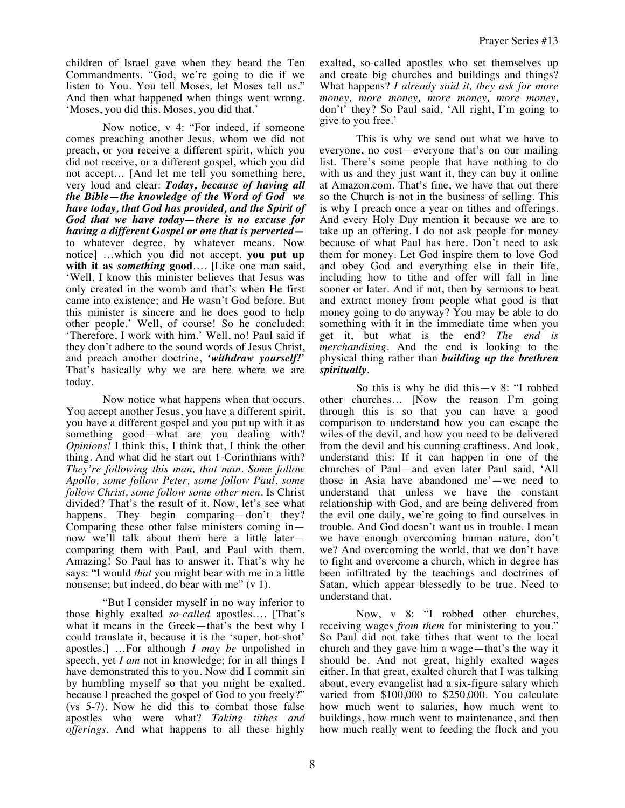children of Israel gave when they heard the Ten Commandments. "God, we're going to die if we listen to You. You tell Moses, let Moses tell us." And then what happened when things went wrong. 'Moses, you did this. Moses, you did that.'

Now notice, v 4: "For indeed, if someone comes preaching another Jesus, whom we did not preach, or you receive a different spirit, which you did not receive, or a different gospel, which you did not accept… [And let me tell you something here, very loud and clear: *Today, because of having all the Bible—the knowledge of the Word of God we have today, that God has provided, and the Spirit of God that we have today—there is no excuse for having a different Gospel or one that is perverted* to whatever degree, by whatever means. Now notice] …which you did not accept, **you put up with it as** *something* **good**…. [Like one man said, 'Well, I know this minister believes that Jesus was only created in the womb and that's when He first came into existence; and He wasn't God before. But this minister is sincere and he does good to help other people.' Well, of course! So he concluded: 'Therefore, I work with him.' Well, no! Paul said if they don't adhere to the sound words of Jesus Christ, and preach another doctrine, *'withdraw yourself!*' That's basically why we are here where we are today.

Now notice what happens when that occurs. You accept another Jesus, you have a different spirit, you have a different gospel and you put up with it as something good—what are you dealing with? *Opinions!* I think this, I think that, I think the other thing. And what did he start out 1-Corinthians with? *They're following this man, that man. Some follow Apollo, some follow Peter, some follow Paul, some follow Christ, some follow some other men.* Is Christ divided? That's the result of it. Now, let's see what happens. They begin comparing—don't they? Comparing these other false ministers coming in now we'll talk about them here a little later comparing them with Paul, and Paul with them. Amazing! So Paul has to answer it. That's why he says: "I would *that* you might bear with me in a little nonsense; but indeed, do bear with me" (v 1).

"But I consider myself in no way inferior to those highly exalted *so-called* apostles…. [That's what it means in the Greek—that's the best why I could translate it, because it is the 'super, hot-shot' apostles.] …For although *I may be* unpolished in speech, yet *I am* not in knowledge; for in all things I have demonstrated this to you. Now did I commit sin by humbling myself so that you might be exalted, because I preached the gospel of God to you freely?" (vs 5-7). Now he did this to combat those false apostles who were what? *Taking tithes and offerings.* And what happens to all these highly exalted, so-called apostles who set themselves up and create big churches and buildings and things? What happens? *I already said it, they ask for more money, more money, more money, more money,*  don't' they? So Paul said, 'All right, I'm going to give to you free.'

This is why we send out what we have to everyone, no cost—everyone that's on our mailing list. There's some people that have nothing to do with us and they just want it, they can buy it online at Amazon.com. That's fine, we have that out there so the Church is not in the business of selling. This is why I preach once a year on tithes and offerings. And every Holy Day mention it because we are to take up an offering. I do not ask people for money because of what Paul has here. Don't need to ask them for money. Let God inspire them to love God and obey God and everything else in their life, including how to tithe and offer will fall in line sooner or later. And if not, then by sermons to beat and extract money from people what good is that money going to do anyway? You may be able to do something with it in the immediate time when you get it, but what is the end? *The end is merchandising.* And the end is looking to the physical thing rather than *building up the brethren spiritually*.

So this is why he did this—v 8: "I robbed other churches… [Now the reason I'm going through this is so that you can have a good comparison to understand how you can escape the wiles of the devil, and how you need to be delivered from the devil and his cunning craftiness. And look, understand this: If it can happen in one of the churches of Paul—and even later Paul said, 'All those in Asia have abandoned me'—we need to understand that unless we have the constant relationship with God, and are being delivered from the evil one daily, we're going to find ourselves in trouble. And God doesn't want us in trouble. I mean we have enough overcoming human nature, don't we? And overcoming the world, that we don't have to fight and overcome a church, which in degree has been infiltrated by the teachings and doctrines of Satan, which appear blessedly to be true. Need to understand that.

Now, v 8: "I robbed other churches, receiving wages *from them* for ministering to you." So Paul did not take tithes that went to the local church and they gave him a wage—that's the way it should be. And not great, highly exalted wages either. In that great, exalted church that I was talking about, every evangelist had a six-figure salary which varied from \$100,000 to \$250,000. You calculate how much went to salaries, how much went to buildings, how much went to maintenance, and then how much really went to feeding the flock and you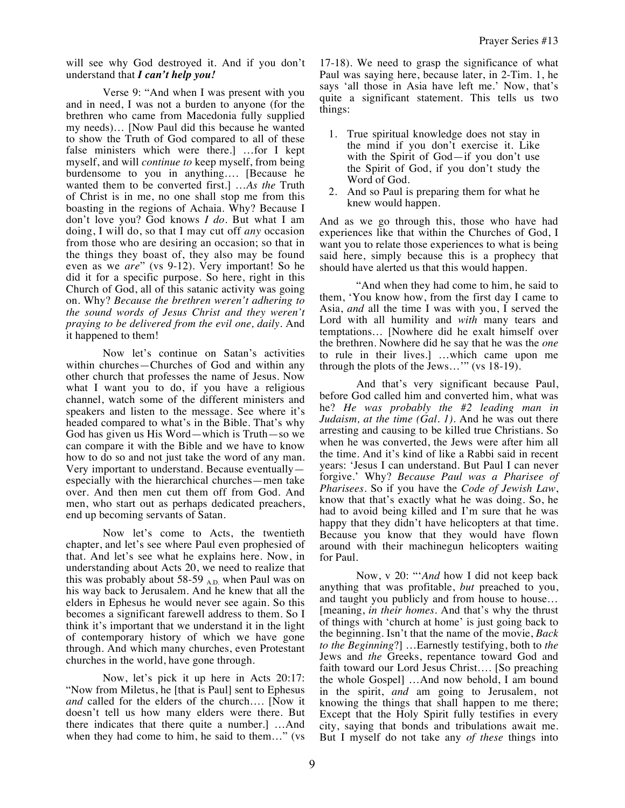will see why God destroyed it. And if you don't understand that *I can't help you!*

Verse 9: "And when I was present with you and in need, I was not a burden to anyone (for the brethren who came from Macedonia fully supplied my needs)… [Now Paul did this because he wanted to show the Truth of God compared to all of these false ministers which were there.] …for I kept myself, and will *continue to* keep myself, from being burdensome to you in anything…. [Because he wanted them to be converted first.] …*As the* Truth of Christ is in me, no one shall stop me from this boasting in the regions of Achaia. Why? Because I don't love you? God knows *I do.* But what I am doing, I will do, so that I may cut off *any* occasion from those who are desiring an occasion; so that in the things they boast of, they also may be found even as we *are*" (vs 9-12). Very important! So he did it for a specific purpose. So here, right in this Church of God, all of this satanic activity was going on. Why? *Because the brethren weren't adhering to the sound words of Jesus Christ and they weren't praying to be delivered from the evil one, daily.* And it happened to them!

Now let's continue on Satan's activities within churches—Churches of God and within any other church that professes the name of Jesus. Now what I want you to do, if you have a religious channel, watch some of the different ministers and speakers and listen to the message. See where it's headed compared to what's in the Bible. That's why God has given us His Word—which is Truth—so we can compare it with the Bible and we have to know how to do so and not just take the word of any man. Very important to understand. Because eventually especially with the hierarchical churches—men take over. And then men cut them off from God. And men, who start out as perhaps dedicated preachers, end up becoming servants of Satan.

Now let's come to Acts, the twentieth chapter, and let's see where Paul even prophesied of that. And let's see what he explains here. Now, in understanding about Acts 20, we need to realize that this was probably about 58-59 A.D. when Paul was on his way back to Jerusalem. And he knew that all the elders in Ephesus he would never see again. So this becomes a significant farewell address to them. So I think it's important that we understand it in the light of contemporary history of which we have gone through. And which many churches, even Protestant churches in the world, have gone through.

Now, let's pick it up here in Acts 20:17: "Now from Miletus, he [that is Paul] sent to Ephesus *and* called for the elders of the church…. [Now it doesn't tell us how many elders were there. But there indicates that there quite a number.] …And when they had come to him, he said to them…" (vs 17-18). We need to grasp the significance of what Paul was saying here, because later, in 2-Tim. 1, he says 'all those in Asia have left me.' Now, that's quite a significant statement. This tells us two things:

- 1. True spiritual knowledge does not stay in the mind if you don't exercise it. Like with the Spirit of God—if you don't use the Spirit of God, if you don't study the Word of God.
- 2. And so Paul is preparing them for what he knew would happen.

And as we go through this, those who have had experiences like that within the Churches of God, I want you to relate those experiences to what is being said here, simply because this is a prophecy that should have alerted us that this would happen.

"And when they had come to him, he said to them, 'You know how, from the first day I came to Asia, *and* all the time I was with you, I served the Lord with all humility and *with* many tears and temptations… [Nowhere did he exalt himself over the brethren. Nowhere did he say that he was the *one* to rule in their lives.] …which came upon me through the plots of the Jews…'" (vs 18-19).

And that's very significant because Paul, before God called him and converted him, what was he? *He was probably the #2 leading man in Judaism, at the time (Gal. 1).* And he was out there arresting and causing to be killed true Christians. So when he was converted, the Jews were after him all the time. And it's kind of like a Rabbi said in recent years: 'Jesus I can understand. But Paul I can never forgive.' Why? *Because Paul was a Pharisee of Pharisees.* So if you have the *Code of Jewish Law*, know that that's exactly what he was doing. So, he had to avoid being killed and I'm sure that he was happy that they didn't have helicopters at that time. Because you know that they would have flown around with their machinegun helicopters waiting for Paul.

Now, v 20: "'*And* how I did not keep back anything that was profitable, *but* preached to you, and taught you publicly and from house to house… [meaning, *in their homes.* And that's why the thrust of things with 'church at home' is just going back to the beginning. Isn't that the name of the movie, *Back to the Beginning*?] …Earnestly testifying, both to *the* Jews and *the* Greeks, repentance toward God and faith toward our Lord Jesus Christ…. [So preaching the whole Gospel] …And now behold, I am bound in the spirit, *and* am going to Jerusalem, not knowing the things that shall happen to me there; Except that the Holy Spirit fully testifies in every city, saying that bonds and tribulations await me. But I myself do not take any *of these* things into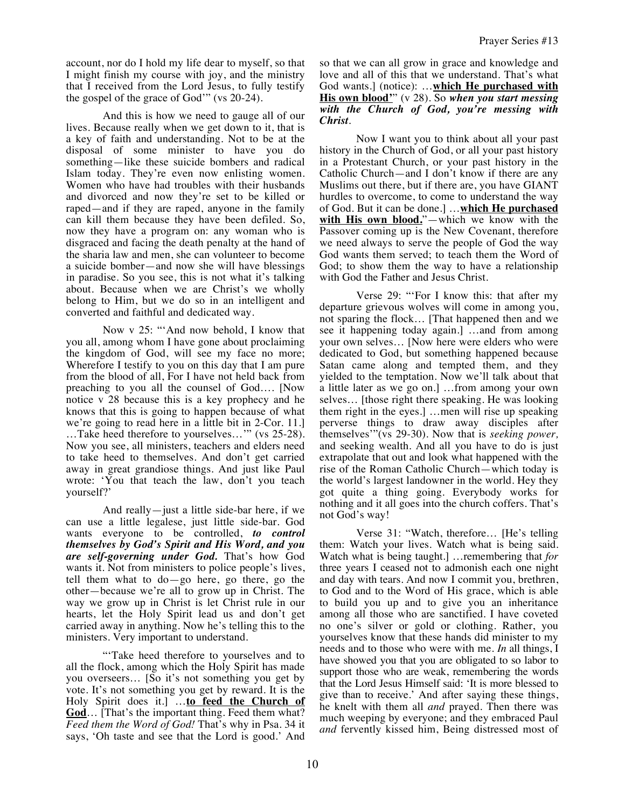account, nor do I hold my life dear to myself, so that I might finish my course with joy, and the ministry that I received from the Lord Jesus, to fully testify the gospel of the grace of God'" (vs 20-24).

And this is how we need to gauge all of our lives. Because really when we get down to it, that is a key of faith and understanding. Not to be at the disposal of some minister to have you do something—like these suicide bombers and radical Islam today. They're even now enlisting women. Women who have had troubles with their husbands and divorced and now they're set to be killed or raped—and if they are raped, anyone in the family can kill them because they have been defiled. So, now they have a program on: any woman who is disgraced and facing the death penalty at the hand of the sharia law and men, she can volunteer to become a suicide bomber—and now she will have blessings in paradise. So you see, this is not what it's talking about. Because when we are Christ's we wholly belong to Him, but we do so in an intelligent and converted and faithful and dedicated way.

Now v 25: "'And now behold, I know that you all, among whom I have gone about proclaiming the kingdom of God, will see my face no more; Wherefore I testify to you on this day that I am pure from the blood of all, For I have not held back from preaching to you all the counsel of God…. [Now notice v 28 because this is a key prophecy and he knows that this is going to happen because of what we're going to read here in a little bit in 2-Cor. 11.] …Take heed therefore to yourselves…'" (vs 25-28). Now you see, all ministers, teachers and elders need to take heed to themselves. And don't get carried away in great grandiose things. And just like Paul wrote: 'You that teach the law, don't you teach yourself?'

And really—just a little side-bar here, if we can use a little legalese, just little side-bar. God wants everyone to be controlled, *to control themselves by God's Spirit and His Word, and you are self-governing under God.* That's how God wants it. Not from ministers to police people's lives, tell them what to do—go here, go there, go the other—because we're all to grow up in Christ. The way we grow up in Christ is let Christ rule in our hearts, let the Holy Spirit lead us and don't get carried away in anything. Now he's telling this to the ministers. Very important to understand.

"'Take heed therefore to yourselves and to all the flock, among which the Holy Spirit has made you overseers… [So it's not something you get by vote. It's not something you get by reward. It is the Holy Spirit does it.] …**to feed the Church of**  God... [That's the important thing. Feed them what? *Feed them the Word of God!* That's why in Psa. 34 it says, 'Oh taste and see that the Lord is good.' And

so that we can all grow in grace and knowledge and love and all of this that we understand. That's what God wants.] (notice): …**which He purchased with His own blood'**" (v 28). So *when you start messing with the Church of God, you're messing with Christ*.

Now I want you to think about all your past history in the Church of God, or all your past history in a Protestant Church, or your past history in the Catholic Church—and I don't know if there are any Muslims out there, but if there are, you have GIANT hurdles to overcome, to come to understand the way of God. But it can be done.] …**which He purchased with His own blood.**"—which we know with the Passover coming up is the New Covenant, therefore we need always to serve the people of God the way God wants them served; to teach them the Word of God; to show them the way to have a relationship with God the Father and Jesus Christ.

Verse 29: "'For I know this: that after my departure grievous wolves will come in among you, not sparing the flock… [That happened then and we see it happening today again.] …and from among your own selves… [Now here were elders who were dedicated to God, but something happened because Satan came along and tempted them, and they yielded to the temptation. Now we'll talk about that a little later as we go on.] …from among your own selves… [those right there speaking. He was looking them right in the eyes.] …men will rise up speaking perverse things to draw away disciples after themselves'"(vs 29-30). Now that is *seeking power,*  and seeking wealth. And all you have to do is just extrapolate that out and look what happened with the rise of the Roman Catholic Church—which today is the world's largest landowner in the world. Hey they got quite a thing going. Everybody works for nothing and it all goes into the church coffers. That's not God's way!

Verse 31: "Watch, therefore… [He's telling them: Watch your lives. Watch what is being said. Watch what is being taught.] …remembering that *for* three years I ceased not to admonish each one night and day with tears. And now I commit you, brethren, to God and to the Word of His grace, which is able to build you up and to give you an inheritance among all those who are sanctified. I have coveted no one's silver or gold or clothing. Rather, you yourselves know that these hands did minister to my needs and to those who were with me. *In* all things, I have showed you that you are obligated to so labor to support those who are weak, remembering the words that the Lord Jesus Himself said: 'It is more blessed to give than to receive.' And after saying these things, he knelt with them all *and* prayed. Then there was much weeping by everyone; and they embraced Paul *and* fervently kissed him, Being distressed most of